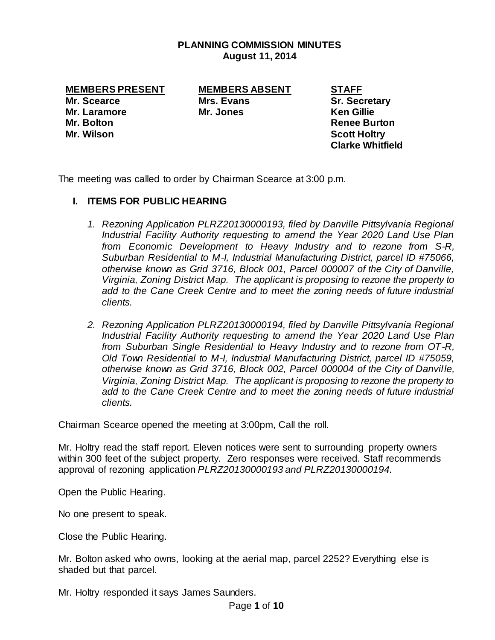## **PLANNING COMMISSION MINUTES August 11, 2014**

**MEMBERS PRESENT MEMBERS ABSENT STAFF**

**Mr. Scearce Mrs. Evans Sr. Secretary Mr. Laramore Mr. Jones Ken Gillie Mr. Bolton Renee Burton Mr. Wilson Scott Holtry**

**Clarke Whitfield**

The meeting was called to order by Chairman Scearce at 3:00 p.m.

# **I. ITEMS FOR PUBLIC HEARING**

- *1. Rezoning Application PLRZ20130000193, filed by Danville Pittsylvania Regional Industrial Facility Authority requesting to amend the Year 2020 Land Use Plan from Economic Development to Heavy Industry and to rezone from S-R, Suburban Residential to M-I, Industrial Manufacturing District, parcel ID #75066, otherwise known as Grid 3716, Block 001, Parcel 000007 of the City of Danville, Virginia, Zoning District Map. The applicant is proposing to rezone the property to add to the Cane Creek Centre and to meet the zoning needs of future industrial clients.*
- *2. Rezoning Application PLRZ20130000194, filed by Danville Pittsylvania Regional Industrial Facility Authority requesting to amend the Year 2020 Land Use Plan from Suburban Single Residential to Heavy Industry and to rezone from OT-R, Old Town Residential to M-I, Industrial Manufacturing District, parcel ID #75059, otherwise known as Grid 3716, Block 002, Parcel 000004 of the City of Danville, Virginia, Zoning District Map. The applicant is proposing to rezone the property to add to the Cane Creek Centre and to meet the zoning needs of future industrial clients.*

Chairman Scearce opened the meeting at 3:00pm, Call the roll.

Mr. Holtry read the staff report. Eleven notices were sent to surrounding property owners within 300 feet of the subject property. Zero responses were received. Staff recommends approval of rezoning application *PLRZ20130000193 and PLRZ20130000194.*

Open the Public Hearing.

No one present to speak.

Close the Public Hearing.

Mr. Bolton asked who owns, looking at the aerial map, parcel 2252? Everything else is shaded but that parcel.

Mr. Holtry responded it says James Saunders.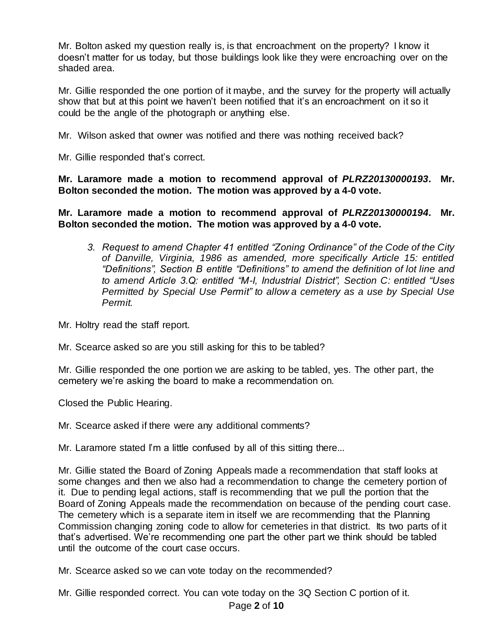Mr. Bolton asked my question really is, is that encroachment on the property? I know it doesn't matter for us today, but those buildings look like they were encroaching over on the shaded area.

Mr. Gillie responded the one portion of it maybe, and the survey for the property will actually show that but at this point we haven't been notified that it's an encroachment on it so it could be the angle of the photograph or anything else.

Mr. Wilson asked that owner was notified and there was nothing received back?

Mr. Gillie responded that's correct.

**Mr. Laramore made a motion to recommend approval of** *PLRZ20130000193***. Mr. Bolton seconded the motion. The motion was approved by a 4-0 vote.** 

**Mr. Laramore made a motion to recommend approval of** *PLRZ20130000194***. Mr. Bolton seconded the motion. The motion was approved by a 4-0 vote.** 

*3. Request to amend Chapter 41 entitled "Zoning Ordinance" of the Code of the City of Danville, Virginia, 1986 as amended, more specifically Article 15: entitled "Definitions", Section B entitle "Definitions" to amend the definition of lot line and to amend Article 3.Q: entitled "M-I, Industrial District", Section C: entitled "Uses Permitted by Special Use Permit" to allow a cemetery as a use by Special Use Permit.*

Mr. Holtry read the staff report.

Mr. Scearce asked so are you still asking for this to be tabled?

Mr. Gillie responded the one portion we are asking to be tabled, yes. The other part, the cemetery we're asking the board to make a recommendation on.

Closed the Public Hearing.

Mr. Scearce asked if there were any additional comments?

Mr. Laramore stated I'm a little confused by all of this sitting there...

Mr. Gillie stated the Board of Zoning Appeals made a recommendation that staff looks at some changes and then we also had a recommendation to change the cemetery portion of it. Due to pending legal actions, staff is recommending that we pull the portion that the Board of Zoning Appeals made the recommendation on because of the pending court case. The cemetery which is a separate item in itself we are recommending that the Planning Commission changing zoning code to allow for cemeteries in that district. Its two parts of it that's advertised. We're recommending one part the other part we think should be tabled until the outcome of the court case occurs.

Mr. Scearce asked so we can vote today on the recommended?

Mr. Gillie responded correct. You can vote today on the 3Q Section C portion of it.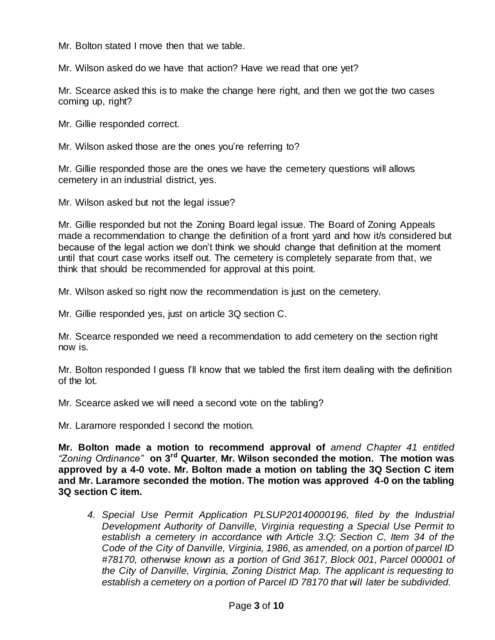Mr. Bolton stated I move then that we table.

Mr. Wilson asked do we have that action? Have we read that one yet?

Mr. Scearce asked this is to make the change here right, and then we got the two cases coming up, right?

Mr. Gillie responded correct.

Mr. Wilson asked those are the ones you're referring to?

Mr. Gillie responded those are the ones we have the cemetery questions will allows cemetery in an industrial district, yes.

Mr. Wilson asked but not the legal issue?

Mr. Gillie responded but not the Zoning Board legal issue. The Board of Zoning Appeals made a recommendation to change the definition of a front yard and how it/s considered but because of the legal action we don't think we should change that definition at the moment until that court case works itself out. The cemetery is completely separate from that, we think that should be recommended for approval at this point.

Mr. Wilson asked so right now the recommendation is just on the cemetery.

Mr. Gillie responded yes, just on article 3Q section C.

Mr. Scearce responded we need a recommendation to add cemetery on the section right now is.

Mr. Bolton responded I guess I'll know that we tabled the first item dealing with the definition of the lot.

Mr. Scearce asked we will need a second vote on the tabling?

Mr. Laramore responded I second the motion.

**Mr. Bolton made a motion to recommend approval of** *amend Chapter 41 entitled "Zoning Ordinance"* **on 3rd Quarter***,* **Mr. Wilson seconded the motion. The motion was approved by a 4-0 vote. Mr. Bolton made a motion on tabling the 3Q Section C item and Mr. Laramore seconded the motion. The motion was approved 4-0 on the tabling 3Q section C item.**

*4. Special Use Permit Application PLSUP20140000196, filed by the Industrial Development Authority of Danville, Virginia requesting a Special Use Permit to establish a cemetery in accordance with Article 3.Q; Section C, Item 34 of the Code of the City of Danville, Virginia, 1986, as amended, on a portion of parcel ID #78170, otherwise known as a portion of Grid 3617, Block 001, Parcel 000001 of the City of Danville, Virginia, Zoning District Map. The applicant is requesting to establish a cemetery on a portion of Parcel ID 78170 that will later be subdivided.*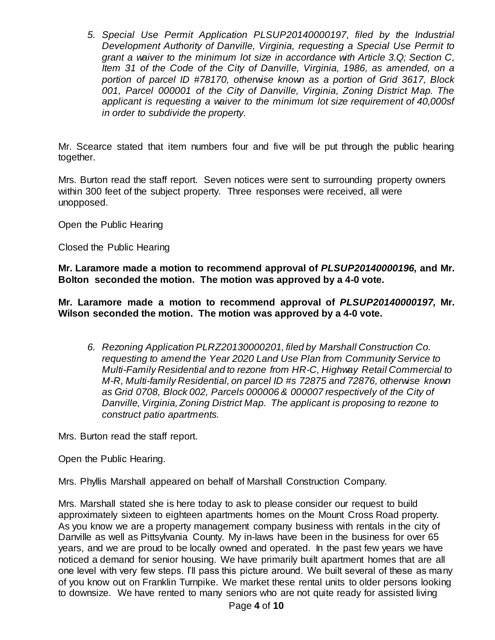*5. Special Use Permit Application PLSUP20140000197, filed by the Industrial Development Authority of Danville, Virginia, requesting a Special Use Permit to grant a waiver to the minimum lot size in accordance with Article 3.Q; Section C, Item 31 of the Code of the City of Danville, Virginia, 1986, as amended, on a portion of parcel ID #78170, otherwise known as a portion of Grid 3617, Block 001, Parcel 000001 of the City of Danville, Virginia, Zoning District Map. The applicant is requesting a waiver to the minimum lot size requirement of 40,000sf in order to subdivide the property.*

Mr. Scearce stated that item numbers four and five will be put through the public hearing together.

Mrs. Burton read the staff report. Seven notices were sent to surrounding property owners within 300 feet of the subject property. Three responses were received, all were unopposed.

Open the Public Hearing

Closed the Public Hearing

**Mr. Laramore made a motion to recommend approval of** *PLSUP20140000196,* **and Mr. Bolton seconded the motion. The motion was approved by a 4-0 vote.** 

**Mr. Laramore made a motion to recommend approval of** *PLSUP20140000197,* **Mr. Wilson seconded the motion. The motion was approved by a 4-0 vote.** 

*6. Rezoning Application PLRZ20130000201, filed by Marshall Construction Co. requesting to amend the Year 2020 Land Use Plan from Community Service to Multi-Family Residential and to rezone from HR-C, Highway Retail Commercial to M-R, Multi-family Residential, on parcel ID #s 72875 and 72876, otherwise known as Grid 0708, Block 002, Parcels 000006 & 000007 respectively of the City of Danville, Virginia, Zoning District Map. The applicant is proposing to rezone to construct patio apartments.* 

Mrs. Burton read the staff report.

Open the Public Hearing.

Mrs. Phyllis Marshall appeared on behalf of Marshall Construction Company.

Mrs. Marshall stated she is here today to ask to please consider our request to build approximately sixteen to eighteen apartments homes on the Mount Cross Road property. As you know we are a property management company business with rentals in the city of Danville as well as Pittsylvania County. My in-laws have been in the business for over 65 years, and we are proud to be locally owned and operated. In the past few years we have noticed a demand for senior housing. We have primarily built apartment homes that are all one level with very few steps. I'll pass this picture around. We built several of these as many of you know out on Franklin Turnpike. We market these rental units to older persons looking to downsize. We have rented to many seniors who are not quite ready for assisted living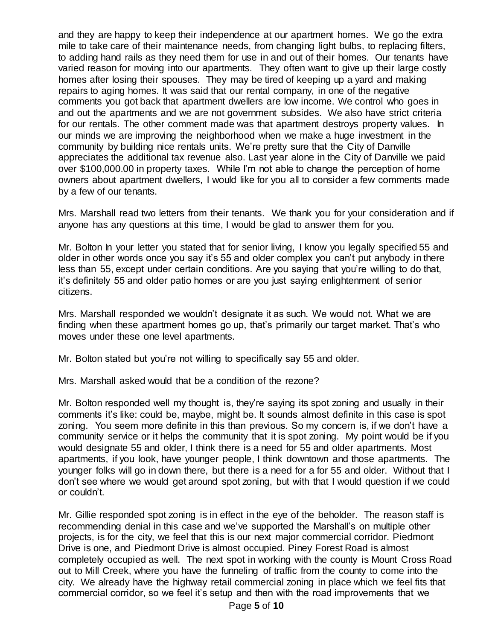and they are happy to keep their independence at our apartment homes. We go the extra mile to take care of their maintenance needs, from changing light bulbs, to replacing filters, to adding hand rails as they need them for use in and out of their homes. Our tenants have varied reason for moving into our apartments. They often want to give up their large costly homes after losing their spouses. They may be tired of keeping up a yard and making repairs to aging homes. It was said that our rental company, in one of the negative comments you got back that apartment dwellers are low income. We control who goes in and out the apartments and we are not government subsides. We also have strict criteria for our rentals. The other comment made was that apartment destroys property values. In our minds we are improving the neighborhood when we make a huge investment in the community by building nice rentals units. We're pretty sure that the City of Danville appreciates the additional tax revenue also. Last year alone in the City of Danville we paid over \$100,000.00 in property taxes. While I'm not able to change the perception of home owners about apartment dwellers, I would like for you all to consider a few comments made by a few of our tenants.

Mrs. Marshall read two letters from their tenants. We thank you for your consideration and if anyone has any questions at this time, I would be glad to answer them for you.

Mr. Bolton In your letter you stated that for senior living, I know you legally specified 55 and older in other words once you say it's 55 and older complex you can't put anybody in there less than 55, except under certain conditions. Are you saying that you're willing to do that, it's definitely 55 and older patio homes or are you just saying enlightenment of senior citizens.

Mrs. Marshall responded we wouldn't designate it as such. We would not. What we are finding when these apartment homes go up, that's primarily our target market. That's who moves under these one level apartments.

Mr. Bolton stated but you're not willing to specifically say 55 and older.

Mrs. Marshall asked would that be a condition of the rezone?

Mr. Bolton responded well my thought is, they're saying its spot zoning and usually in their comments it's like: could be, maybe, might be. It sounds almost definite in this case is spot zoning. You seem more definite in this than previous. So my concern is, if we don't have a community service or it helps the community that it is spot zoning. My point would be if you would designate 55 and older, I think there is a need for 55 and older apartments. Most apartments, if you look, have younger people, I think downtown and those apartments. The younger folks will go in down there, but there is a need for a for 55 and older. Without that I don't see where we would get around spot zoning, but with that I would question if we could or couldn't.

Mr. Gillie responded spot zoning is in effect in the eye of the beholder. The reason staff is recommending denial in this case and we've supported the Marshall's on multiple other projects, is for the city, we feel that this is our next major commercial corridor. Piedmont Drive is one, and Piedmont Drive is almost occupied. Piney Forest Road is almost completely occupied as well. The next spot in working with the county is Mount Cross Road out to Mill Creek, where you have the funneling of traffic from the county to come into the city. We already have the highway retail commercial zoning in place which we feel fits that commercial corridor, so we feel it's setup and then with the road improvements that we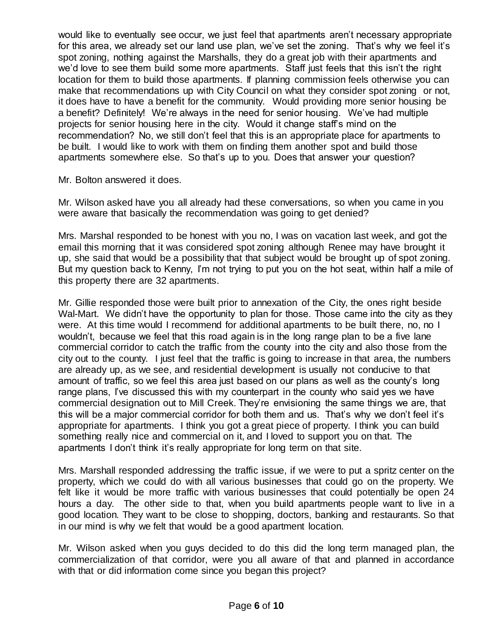would like to eventually see occur, we just feel that apartments aren't necessary appropriate for this area, we already set our land use plan, we've set the zoning. That's why we feel it's spot zoning, nothing against the Marshalls, they do a great job with their apartments and we'd love to see them build some more apartments. Staff just feels that this isn't the right location for them to build those apartments. If planning commission feels otherwise you can make that recommendations up with City Council on what they consider spot zoning or not, it does have to have a benefit for the community. Would providing more senior housing be a benefit? Definitely! We're always in the need for senior housing. We've had multiple projects for senior housing here in the city. Would it change staff's mind on the recommendation? No, we still don't feel that this is an appropriate place for apartments to be built. I would like to work with them on finding them another spot and build those apartments somewhere else. So that's up to you. Does that answer your question?

Mr. Bolton answered it does.

Mr. Wilson asked have you all already had these conversations, so when you came in you were aware that basically the recommendation was going to get denied?

Mrs. Marshal responded to be honest with you no, I was on vacation last week, and got the email this morning that it was considered spot zoning although Renee may have brought it up, she said that would be a possibility that that subject would be brought up of spot zoning. But my question back to Kenny, I'm not trying to put you on the hot seat, within half a mile of this property there are 32 apartments.

Mr. Gillie responded those were built prior to annexation of the City, the ones right beside Wal-Mart. We didn't have the opportunity to plan for those. Those came into the city as they were. At this time would I recommend for additional apartments to be built there, no, no I wouldn't, because we feel that this road again is in the long range plan to be a five lane commercial corridor to catch the traffic from the county into the city and also those from the city out to the county. I just feel that the traffic is going to increase in that area, the numbers are already up, as we see, and residential development is usually not conducive to that amount of traffic, so we feel this area just based on our plans as well as the county's long range plans, I've discussed this with my counterpart in the county who said yes we have commercial designation out to Mill Creek. They're envisioning the same things we are, that this will be a major commercial corridor for both them and us. That's why we don't feel it's appropriate for apartments. I think you got a great piece of property. I think you can build something really nice and commercial on it, and I loved to support you on that. The apartments I don't think it's really appropriate for long term on that site.

Mrs. Marshall responded addressing the traffic issue, if we were to put a spritz center on the property, which we could do with all various businesses that could go on the property. We felt like it would be more traffic with various businesses that could potentially be open 24 hours a day. The other side to that, when you build apartments people want to live in a good location. They want to be close to shopping, doctors, banking and restaurants. So that in our mind is why we felt that would be a good apartment location.

Mr. Wilson asked when you guys decided to do this did the long term managed plan, the commercialization of that corridor, were you all aware of that and planned in accordance with that or did information come since you began this project?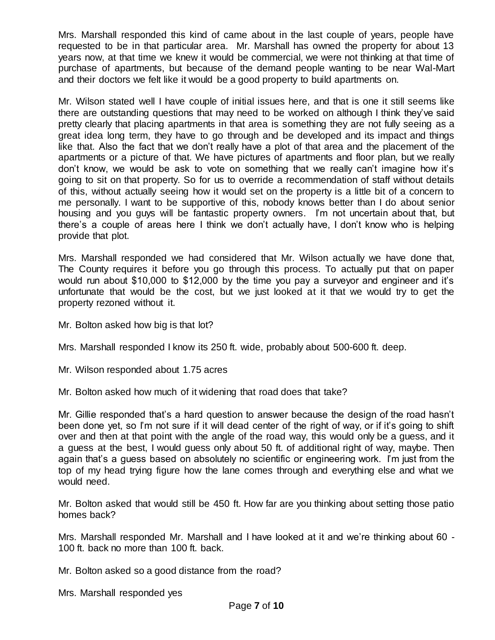Mrs. Marshall responded this kind of came about in the last couple of years, people have requested to be in that particular area. Mr. Marshall has owned the property for about 13 years now, at that time we knew it would be commercial, we were not thinking at that time of purchase of apartments, but because of the demand people wanting to be near Wal-Mart and their doctors we felt like it would be a good property to build apartments on.

Mr. Wilson stated well I have couple of initial issues here, and that is one it still seems like there are outstanding questions that may need to be worked on although I think they've said pretty clearly that placing apartments in that area is something they are not fully seeing as a great idea long term, they have to go through and be developed and its impact and things like that. Also the fact that we don't really have a plot of that area and the placement of the apartments or a picture of that. We have pictures of apartments and floor plan, but we really don't know, we would be ask to vote on something that we really can't imagine how it's going to sit on that property. So for us to override a recommendation of staff without details of this, without actually seeing how it would set on the property is a little bit of a concern to me personally. I want to be supportive of this, nobody knows better than I do about senior housing and you guys will be fantastic property owners. I'm not uncertain about that, but there's a couple of areas here I think we don't actually have, I don't know who is helping provide that plot.

Mrs. Marshall responded we had considered that Mr. Wilson actually we have done that, The County requires it before you go through this process. To actually put that on paper would run about \$10,000 to \$12,000 by the time you pay a surveyor and engineer and it's unfortunate that would be the cost, but we just looked at it that we would try to get the property rezoned without it.

Mr. Bolton asked how big is that lot?

Mrs. Marshall responded I know its 250 ft. wide, probably about 500-600 ft. deep.

Mr. Wilson responded about 1.75 acres

Mr. Bolton asked how much of it widening that road does that take?

Mr. Gillie responded that's a hard question to answer because the design of the road hasn't been done yet, so I'm not sure if it will dead center of the right of way, or if it's going to shift over and then at that point with the angle of the road way, this would only be a guess, and it a guess at the best, I would guess only about 50 ft. of additional right of way, maybe. Then again that's a guess based on absolutely no scientific or engineering work. I'm just from the top of my head trying figure how the lane comes through and everything else and what we would need.

Mr. Bolton asked that would still be 450 ft. How far are you thinking about setting those patio homes back?

Mrs. Marshall responded Mr. Marshall and I have looked at it and we're thinking about 60 - 100 ft. back no more than 100 ft. back.

Mr. Bolton asked so a good distance from the road?

Mrs. Marshall responded yes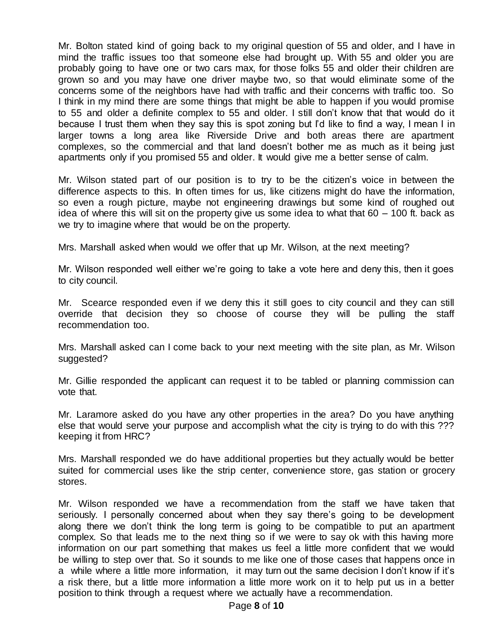Mr. Bolton stated kind of going back to my original question of 55 and older, and I have in mind the traffic issues too that someone else had brought up. With 55 and older you are probably going to have one or two cars max, for those folks 55 and older their children are grown so and you may have one driver maybe two, so that would eliminate some of the concerns some of the neighbors have had with traffic and their concerns with traffic too. So I think in my mind there are some things that might be able to happen if you would promise to 55 and older a definite complex to 55 and older. I still don't know that that would do it because I trust them when they say this is spot zoning but I'd like to find a way, I mean I in larger towns a long area like Riverside Drive and both areas there are apartment complexes, so the commercial and that land doesn't bother me as much as it being just apartments only if you promised 55 and older. It would give me a better sense of calm.

Mr. Wilson stated part of our position is to try to be the citizen's voice in between the difference aspects to this. In often times for us, like citizens might do have the information, so even a rough picture, maybe not engineering drawings but some kind of roughed out idea of where this will sit on the property give us some idea to what that 60 – 100 ft. back as we try to imagine where that would be on the property.

Mrs. Marshall asked when would we offer that up Mr. Wilson, at the next meeting?

Mr. Wilson responded well either we're going to take a vote here and deny this, then it goes to city council.

Mr. Scearce responded even if we deny this it still goes to city council and they can still override that decision they so choose of course they will be pulling the staff recommendation too.

Mrs. Marshall asked can I come back to your next meeting with the site plan, as Mr. Wilson suggested?

Mr. Gillie responded the applicant can request it to be tabled or planning commission can vote that.

Mr. Laramore asked do you have any other properties in the area? Do you have anything else that would serve your purpose and accomplish what the city is trying to do with this ??? keeping it from HRC?

Mrs. Marshall responded we do have additional properties but they actually would be better suited for commercial uses like the strip center, convenience store, gas station or grocery stores.

Mr. Wilson responded we have a recommendation from the staff we have taken that seriously. I personally concerned about when they say there's going to be development along there we don't think the long term is going to be compatible to put an apartment complex. So that leads me to the next thing so if we were to say ok with this having more information on our part something that makes us feel a little more confident that we would be willing to step over that. So it sounds to me like one of those cases that happens once in a while where a little more information, it may turn out the same decision I don't know if it's a risk there, but a little more information a little more work on it to help put us in a better position to think through a request where we actually have a recommendation.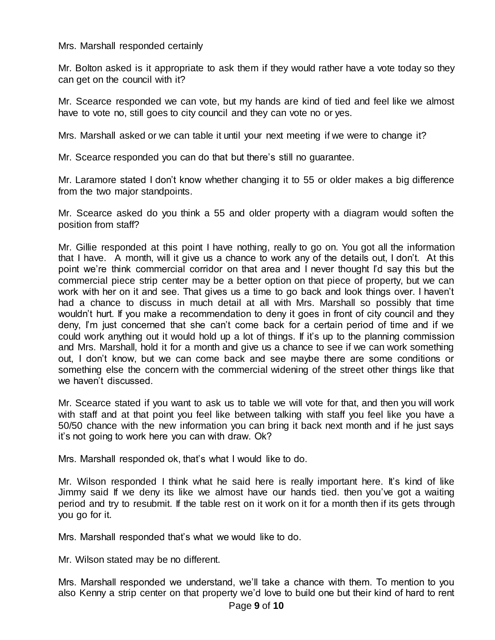## Mrs. Marshall responded certainly

Mr. Bolton asked is it appropriate to ask them if they would rather have a vote today so they can get on the council with it?

Mr. Scearce responded we can vote, but my hands are kind of tied and feel like we almost have to vote no, still goes to city council and they can vote no or yes.

Mrs. Marshall asked or we can table it until your next meeting if we were to change it?

Mr. Scearce responded you can do that but there's still no guarantee.

Mr. Laramore stated I don't know whether changing it to 55 or older makes a big difference from the two major standpoints.

Mr. Scearce asked do you think a 55 and older property with a diagram would soften the position from staff?

Mr. Gillie responded at this point I have nothing, really to go on. You got all the information that I have. A month, will it give us a chance to work any of the details out, I don't. At this point we're think commercial corridor on that area and I never thought I'd say this but the commercial piece strip center may be a better option on that piece of property, but we can work with her on it and see. That gives us a time to go back and look things over. I haven't had a chance to discuss in much detail at all with Mrs. Marshall so possibly that time wouldn't hurt. If you make a recommendation to deny it goes in front of city council and they deny, I'm just concerned that she can't come back for a certain period of time and if we could work anything out it would hold up a lot of things. If it's up to the planning commission and Mrs. Marshall, hold it for a month and give us a chance to see if we can work something out, I don't know, but we can come back and see maybe there are some conditions or something else the concern with the commercial widening of the street other things like that we haven't discussed.

Mr. Scearce stated if you want to ask us to table we will vote for that, and then you will work with staff and at that point you feel like between talking with staff you feel like you have a 50/50 chance with the new information you can bring it back next month and if he just says it's not going to work here you can with draw. Ok?

Mrs. Marshall responded ok, that's what I would like to do.

Mr. Wilson responded I think what he said here is really important here. It's kind of like Jimmy said If we deny its like we almost have our hands tied. then you've got a waiting period and try to resubmit. If the table rest on it work on it for a month then if its gets through you go for it.

Mrs. Marshall responded that's what we would like to do.

Mr. Wilson stated may be no different.

Mrs. Marshall responded we understand, we'll take a chance with them. To mention to you also Kenny a strip center on that property we'd love to build one but their kind of hard to rent